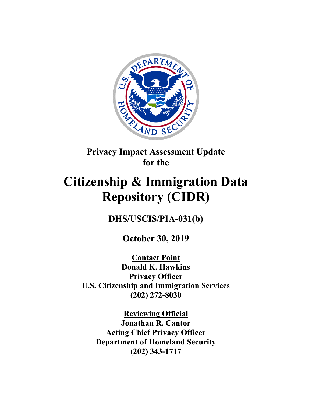

**Privacy Impact Assessment Update for the**

# **Citizenship & Immigration Data Repository (CIDR)**

**DHS/USCIS/PIA-031(b)**

**October 30, 2019**

**Contact Point Donald K. Hawkins Privacy Officer U.S. Citizenship and Immigration Services (202) 272-8030**

**Reviewing Official Jonathan R. Cantor Acting Chief Privacy Officer Department of Homeland Security (202) 343-1717**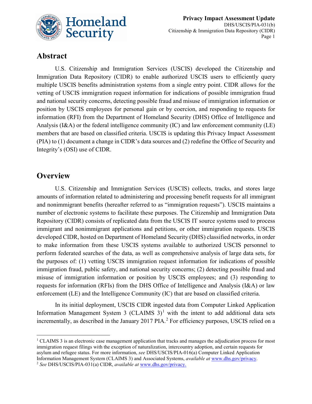

## **Abstract**

U.S. Citizenship and Immigration Services (USCIS) developed the Citizenship and Immigration Data Repository (CIDR) to enable authorized USCIS users to efficiently query multiple USCIS benefits administration systems from a single entry point. CIDR allows for the vetting of USCIS immigration request information for indications of possible immigration fraud and national security concerns, detecting possible fraud and misuse of immigration information or position by USCIS employees for personal gain or by coercion, and responding to requests for information (RFI) from the Department of Homeland Security (DHS) Office of Intelligence and Analysis (I&A) or the federal intelligence community (IC) and law enforcement community (LE) members that are based on classified criteria. USCIS is updating this Privacy Impact Assessment (PIA) to (1) document a change in CIDR's data sources and (2) redefine the Office of Security and Integrity's (OSI) use of CIDR.

### **Overview**

 $\overline{a}$ 

U.S. Citizenship and Immigration Services (USCIS) collects, tracks, and stores large amounts of information related to administering and processing benefit requests for all immigrant and nonimmigrant benefits (hereafter referred to as "immigration requests"). USCIS maintains a number of electronic systems to facilitate these purposes. The Citizenship and Immigration Data Repository (CIDR) consists of replicated data from the USCIS IT source systems used to process immigrant and nonimmigrant applications and petitions, or other immigration requests. USCIS developed CIDR, hosted on Department of Homeland Security (DHS) classified networks, in order to make information from these USCIS systems available to authorized USCIS personnel to perform federated searches of the data, as well as comprehensive analysis of large data sets, for the purposes of: (1) vetting USCIS immigration request information for indications of possible immigration fraud, public safety, and national security concerns; (2) detecting possible fraud and misuse of immigration information or position by USCIS employees; and (3) responding to requests for information (RFIs) from the DHS Office of Intelligence and Analysis (I&A) or law enforcement (LE) and the Intelligence Community (IC) that are based on classified criteria.

In its initial deployment, USCIS CIDR ingested data from Computer Linked Application Information Management System 3 (CLAIMS  $3$ )<sup>[1](#page-1-0)</sup> with the intent to add additional data sets incrementally, as described in the January [2](#page-1-1)017 PIA.<sup>2</sup> For efficiency purposes, USCIS relied on a

<span id="page-1-0"></span><sup>&</sup>lt;sup>1</sup> CLAIMS 3 is an electronic case management application that tracks and manages the adjudication process for most immigration request filings with the exception of naturalization, intercountry adoption, and certain requests for asylum and refugee status. For more information, *see* DHS/USCIS/PIA-016(a) Computer Linked Application Information Management System (CLAIMS 3) and Associated Systems, *available at* [www.dhs.gov/privacy.](http://www.dhs.gov/privacy)

<span id="page-1-1"></span><sup>2</sup> *See* DHS/USCIS/PIA-031(a) CIDR, *available at* [www.dhs.gov/privacy.](http://www.dhs.gov/privacy)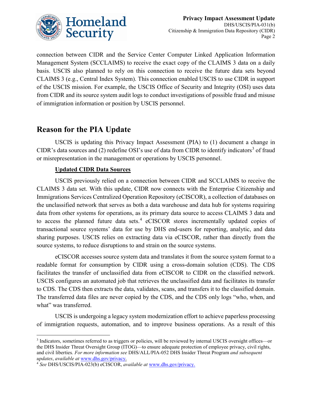

connection between CIDR and the Service Center Computer Linked Application Information Management System (SCCLAIMS) to receive the exact copy of the CLAIMS 3 data on a daily basis. USCIS also planned to rely on this connection to receive the future data sets beyond CLAIMS 3 (e.g., Central Index System). This connection enabled USCIS to use CIDR in support of the USCIS mission. For example, the USCIS Office of Security and Integrity (OSI) uses data from CIDR and its source system audit logs to conduct investigations of possible fraud and misuse of immigration information or position by USCIS personnel.

# **Reason for the PIA Update**

USCIS is updating this Privacy Impact Assessment (PIA) to (1) document a change in CIDR's data sources and (2) redefine OSI's use of data from CIDR to identify indicators<sup>[3](#page-2-0)</sup> of fraud or misrepresentation in the management or operations by USCIS personnel.

#### **Updated CIDR Data Sources**

USCIS previously relied on a connection between CIDR and SCCLAIMS to receive the CLAIMS 3 data set. With this update, CIDR now connects with the Enterprise Citizenship and Immigrations Services Centralized Operation Repository (eCISCOR), a collection of databases on the unclassified network that serves as both a data warehouse and data hub for systems requiring data from other systems for operations, as its primary data source to access CLAIMS 3 data and to access the planned future data sets.<sup>[4](#page-2-1)</sup> eCISCOR stores incrementally updated copies of transactional source systems' data for use by DHS end-users for reporting, analytic, and data sharing purposes. USCIS relies on extracting data via eCISCOR, rather than directly from the source systems, to reduce disruptions to and strain on the source systems.

eCISCOR accesses source system data and translates it from the source system format to a readable format for consumption by CIDR using a cross-domain solution (CDS). The CDS facilitates the transfer of unclassified data from eCISCOR to CIDR on the classified network. USCIS configures an automated job that retrieves the unclassified data and facilitates its transfer to CDS. The CDS then extracts the data, validates, scans, and transfers it to the classified domain. The transferred data files are never copied by the CDS, and the CDS only logs "who, when, and what" was transferred.

USCIS is undergoing a legacy system modernization effort to achieve paperless processing of immigration requests, automation, and to improve business operations. As a result of this

<span id="page-2-0"></span><sup>3</sup> Indicators, sometimes referred to as triggers or policies, will be reviewed by internal USCIS oversight offices—or the DHS Insider Threat Oversight Group (ITOG)—to ensure adequate protection of employee privacy, civil rights, and civil liberties*. For more information see* DHS/ALL/PIA-052 DHS Insider Threat Program *and subsequent updates*, *available at* [www.dhs.gov/privacy.](http://www.dhs.gov/privacy)

<span id="page-2-1"></span><sup>4</sup> *See* DHS/USCIS/PIA-023(b) eCISCOR, *available at* [www.dhs.gov/privacy.](http://www.dhs.gov/privacy)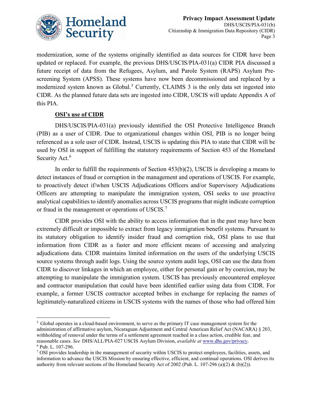

modernization, some of the systems originally identified as data sources for CIDR have been updated or replaced. For example, the previous DHS/USCIS/PIA-031(a) CIDR PIA discussed a future receipt of data from the Refugees, Asylum, and Parole System (RAPS) Asylum Prescreening System (APSS). These systems have now been decommissioned and replaced by a modernized system known as Global.<sup>[5](#page-3-0)</sup> Currently, CLAIMS 3 is the only data set ingested into CIDR. As the planned future data sets are ingested into CIDR, USCIS will update Appendix A of this PIA.

#### **OSI's use of CIDR**

 $\overline{a}$ 

DHS/USCIS/PIA-031(a) previously identified the OSI Protective Intelligence Branch (PIB) as a user of CIDR. Due to organizational changes within OSI, PIB is no longer being referenced as a sole user of CIDR. Instead, USCIS is updating this PIA to state that CIDR will be used by OSI in support of fulfilling the statutory requirements of Section 453 of the Homeland Security Act.<sup>[6](#page-3-1)</sup>

In order to fulfill the requirements of Section 453(b)(2), USCIS is developing a means to detect instances of fraud or corruption in the management and operations of USCIS. For example, to proactively detect if/when USCIS Adjudications Officers and/or Supervisory Adjudications Officers are attempting to manipulate the immigration system, OSI seeks to use proactive analytical capabilities to identify anomalies across USCIS programs that might indicate corruption or fraud in the management or operations of USCIS.<sup>[7](#page-3-2)</sup>

CIDR provides OSI with the ability to access information that in the past may have been extremely difficult or impossible to extract from legacy immigration benefit systems. Pursuant to its statutory obligation to identify insider fraud and corruption risk, OSI plans to use that information from CIDR as a faster and more efficient means of accessing and analyzing adjudications data. CIDR maintains limited information on the users of the underlying USCIS source systems through audit logs. Using the source system audit logs, OSI can use the data from CIDR to discover linkages in which an employee, either for personal gain or by coercion, may be attempting to manipulate the immigration system. USCIS has previously encountered employee and contractor manipulation that could have been identified earlier using data from CIDR. For example, a former USCIS contractor accepted bribes in exchange for replacing the names of legitimately-naturalized citizens in USCIS systems with the names of those who had offered him

<span id="page-3-0"></span><sup>&</sup>lt;sup>5</sup> Global operates in a cloud-based environment, to serve as the primary IT case management system for the administration of affirmative asylum, Nicaraguan Adjustment and Central American Relief Act (NACARA) § 203, withholding of removal under the terms of a settlement agreement reached in a class action, credible fear, and reasonable cases. *See* DHS/ALL/PIA-027 USCIS Asylum Division, *available at* [www.dhs.gov/privacy.](http://www.dhs.gov/privacy) <sup>6</sup> Pub. L. 107-296.

<span id="page-3-2"></span><span id="page-3-1"></span><sup>7</sup> OSI provides leadership in the management of security within USCIS to protect employees, facilities, assets, and information to advance the USCIS Mission by ensuring effective, efficient, and continual operations. OSI derives its authority from relevant sections of the Homeland Security Act of 2002 (Pub. L. 107-296 (a)(2) & (b)(2)).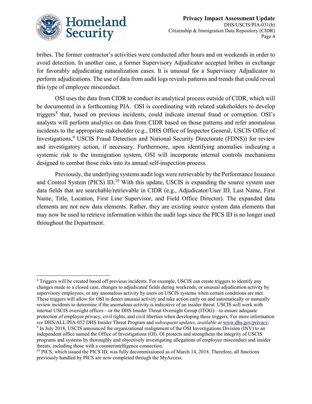

 $\overline{a}$ 

bribes. The former contractor's activities were conducted after hours and on weekends in order to avoid detection. In another case, a former Supervisory Adjudicator accepted bribes in exchange for favorably adjudicating naturalization cases. It is unusual for a Supervisory Adjudicator to perform adjudications. The use of data from audit logs reveals patterns and trends that could reveal this type of employee misconduct.

OSI uses the data from CIDR to conduct its analytical process outside of CIDR, which will be documented in a forthcoming PIA. OSI is coordinating with related stakeholders to develop triggers<sup>[8](#page-4-0)</sup> that, based on previous incidents, could indicate internal fraud or corruption. OSI's analysts will perform analytics on data from CIDR based on those patterns and refer anomalous incidents to the appropriate stakeholder (e.g., DHS Office of Inspector General, USCIS Office of Investigations,<sup>[9](#page-4-1)</sup> USCIS Fraud Detection and National Security Directorate (FDNS)) for review and investigatory action, if necessary. Furthermore, upon identifying anomalies indicating a systemic risk to the immigration system, OSI will incorporate internal controls mechanisms designed to combat those risks into its annual self-inspection process.

Previously, the underlying systems audit logs were retrievable by the Performance Issuance and Control System (PICS) ID.<sup>[10](#page-4-2)</sup> With this update, USCIS is expanding the source system user data fields that are searchable/retrievable in CIDR (e.g., Adjudicator/User ID, Last Name, First Name, Title, Location, First Line Supervisor, and Field Office Director). The expanded data elements are not new data elements. Rather, they are existing source system data elements that may now be used to retrieve information within the audit logs since the PICS ID is no longer used throughout the Department.

<span id="page-4-0"></span><sup>&</sup>lt;sup>8</sup> Triggers will be created based off previous incidents. For example, USCIS can create triggers to identify any changes made to a closed case, changes to adjudicated fields during weekends, or unusual adjudication activity by supervisory employees, or any anomalous activity by users on USCIS systems when certain conditions are met. These triggers will allow for OSI to detect unusual activity and take action early on and automatically or manually review incidents to determine if the anomalous activity is indicative of an insider threat. USCIS will work with internal USCIS oversight offices—or the DHS Insider Threat Oversight Group (ITOG)—to ensure adequate protection of employee privacy, civil rights, and civil liberties when developing these triggers. For more information *see* DHS/ALL/PIA-052 DHS Insider Threat Program and *subsequent updates*, *available at* [www.dhs.gov/privacy.](http://www.dhs.gov/privacy) <sup>9</sup> In July 2018, USCIS announced the organizational realignment of the OSI Investigations Division (INV) to an independent office named the Office of Investigations (OI). OI protects and strengthens the integrity of USCIS programs and systems by thoroughly and objectively investigating allegations of employee misconduct and insider threats, including those with a counterintelligence connection.

<span id="page-4-2"></span><span id="page-4-1"></span> $10$  PICS, which issued the PICS ID, was fully decommissioned as of March 14, 2018. Therefore, all functions previously handled by PICS are now completed through the MyAccess.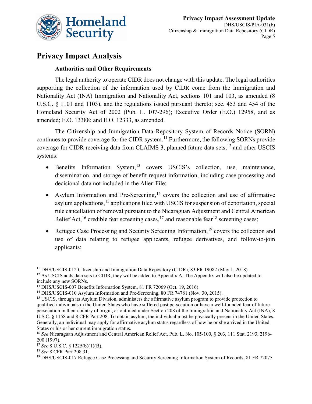

# **Privacy Impact Analysis**

#### **Authorities and Other Requirements**

The legal authority to operate CIDR does not change with this update. The legal authorities supporting the collection of the information used by CIDR come from the Immigration and Nationality Act (INA) Immigration and Nationality Act, sections 101 and 103, as amended [\(8](https://api.fdsys.gov/link?collection=uscode&title=8&year=mostrecent§ion=1101&type=usc&link-type=html)  U.S.C. [§ 1101](https://api.fdsys.gov/link?collection=uscode&title=8&year=mostrecent§ion=1101&type=usc&link-type=html) and 1103), and the regulations issued pursuant thereto; sec. 453 and 454 of the Homeland Security Act of 2002 [\(Pub. L. 107-296\)](https://api.fdsys.gov/link?collection=plaw&congress=107&lawtype=public&lawnum=296&link-type=html); [Executive Order \(E.O.\) 12958,](https://www.federalregister.gov/executive-order/12958) and as amended; [E.O. 13388;](https://www.federalregister.gov/executive-order/13388) and E.O. 12333, as amended.

The Citizenship and Immigration Data Repository System of Records Notice (SORN) continues to provide coverage for the CIDR system.<sup>[11](#page-5-0)</sup> Furthermore, the following SORNs provide coverage for CIDR receiving data from CLAIMS 3, planned future data sets, $^{12}$  $^{12}$  $^{12}$  and other USCIS systems:

- Benefits Information System,<sup>[13](#page-5-2)</sup> covers USCIS's collection, use, maintenance, dissemination, and storage of benefit request information, including case processing and decisional data not included in the Alien File;
- Asylum Information and Pre-Screening,  $14$  covers the collection and use of affirmative asylum applications,<sup>[15](#page-5-4)</sup> applications filed with USCIS for suspension of deportation, special rule cancellation of removal pursuant to the Nicaraguan Adjustment and Central American Relief Act,<sup>[16](#page-5-5)</sup> credible fear screening cases,<sup>[17](#page-5-6)</sup> and reasonable fear<sup>[18](#page-5-7)</sup> screening cases;
- Refugee Case Processing and Security Screening Information,  $19$  covers the collection and use of data relating to refugee applicants, refugee derivatives, and follow-to-join applicants;

<span id="page-5-0"></span><sup>&</sup>lt;sup>11</sup> DHS/USCIS-012 Citizenship and Immigration Data Repository (CIDR), 83 FR 19082 (May 1, 2018).

<span id="page-5-1"></span><sup>&</sup>lt;sup>12</sup> As USCIS adds data sets to CIDR, they will be added to Appendix A. The Appendix will also be updated to include any new SORNs.<br><sup>13</sup> DHS/USCIS-007 Benefits Information System, 81 FR 72069 (Oct. 19, 2016).

<span id="page-5-2"></span>

<span id="page-5-3"></span><sup>&</sup>lt;sup>14</sup> DHS/USCIS-010 Asylum Information and Pre-Screening, 80 FR 74781 (Nov. 30, 2015).

<span id="page-5-4"></span><sup>&</sup>lt;sup>15</sup> USCIS, through its Asylum Division, administers the affirmative asylum program to provide protection to qualified individuals in the United States who have suffered past persecution or have a well-founded fear of future persecution in their country of origin, as outlined under Section 208 of the Immigration and Nationality Act (INA), 8 U.S.C. § 1158 and 8 CFR Part 208. To obtain asylum, the individual must be physically present in the United States. Generally, an individual may apply for affirmative asylum status regardless of how he or she arrived in the United States or his or her current immigration status.

<span id="page-5-5"></span><sup>16</sup> *See* Nicaraguan Adjustment and Central American Relief Act, Pub. L. No. 105-100, § 203, 111 Stat. 2193, 2196- 200 (1997).

<span id="page-5-6"></span><sup>17</sup> *See* 8 U.S.C. § 1225(b)(1)(B).

<span id="page-5-7"></span><sup>18</sup> *See* 8 CFR Part 208.31.

<span id="page-5-8"></span><sup>&</sup>lt;sup>19</sup> DHS/USCIS-017 Refugee Case Processing and Security Screening Information System of Records, 81 FR 72075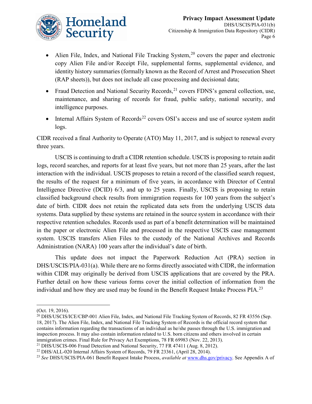

- Alien File, Index, and National File Tracking System,<sup>[20](#page-6-0)</sup> covers the paper and electronic copy Alien File and/or Receipt File, supplemental forms, supplemental evidence, and identity history summaries (formally known as the Record of Arrest and Prosecution Sheet (RAP sheets)), but does not include all case processing and decisional data;
- Fraud Detection and National Security Records,  $^{21}$  $^{21}$  $^{21}$  covers FDNS's general collection, use, maintenance, and sharing of records for fraud, public safety, national security, and intelligence purposes.
- Internal Affairs System of Records<sup>[22](#page-6-2)</sup> covers OSI's access and use of source system audit logs.

CIDR received a final Authority to Operate (ATO) May 11, 2017, and is subject to renewal every three years.

USCIS is continuing to draft a CIDR retention schedule. USCIS is proposing to retain audit logs, record searches, and reports for at least five years, but not more than 25 years, after the last interaction with the individual. USCIS proposes to retain a record of the classified search request, the results of the request for a minimum of five years, in accordance with Director of Central Intelligence Directive (DCID) 6/3, and up to 25 years. Finally, USCIS is proposing to retain classified background check results from immigration requests for 100 years from the subject's date of birth. CIDR does not retain the replicated data sets from the underlying USCIS data systems. Data supplied by these systems are retained in the source system in accordance with their respective retention schedules. Records used as part of a benefit determination will be maintained in the paper or electronic Alien File and processed in the respective USCIS case management system. USCIS transfers Alien Files to the custody of the National Archives and Records Administration (NARA) 100 years after the individual's date of birth.

This update does not impact the Paperwork Reduction Act (PRA) section in DHS/USCIS/PIA-031(a). While there are no forms directly associated with CIDR, the information within CIDR may originally be derived from USCIS applications that are covered by the PRA. Further detail on how these various forms cover the initial collection of information from the individual and how they are used may be found in the Benefit Request Intake Process PIA.<sup>[23](#page-6-3)</sup>

<sup>(</sup>Oct. 19, 2016).

<span id="page-6-0"></span><sup>&</sup>lt;sup>20</sup> DHS/USCIS/ICE/CBP-001 Alien File, Index, and National File Tracking System of Records, 82 FR 43556 (Sep. 18, 2017). The Alien File, Index, and National File Tracking System of Records is the official record system that contains information regarding the transactions of an individual as he/she passes through the U.S. immigration and inspection process. It may also contain information related to U.S. born citizens and others involved in certain immigration crimes. Final Rule for Privacy Act Exemptions, 78 FR 69983 (Nov. 22, 2013).

<span id="page-6-1"></span><sup>21</sup> DHS/USCIS-006 Fraud Detection and National Security, 77 FR 47411 (Aug. 8, 2012).

<span id="page-6-2"></span> $^{22}$  DHS/ALL-020 Internal Affairs System of Records, 79 FR 23361, (April 28, 2014).

<span id="page-6-3"></span><sup>23</sup> *See* DHS/USCIS/PIA-061 Benefit Request Intake Process, *available at* [www.dhs.gov/privacy.](http://www.dhs.gov/privacy) See Appendix A of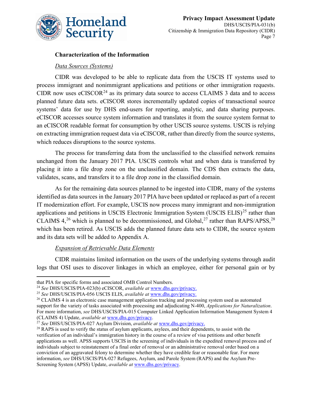

#### **Characterization of the Information**

#### *Data Sources (Systems)*

CIDR was developed to be able to replicate data from the USCIS IT systems used to process immigrant and nonimmigrant applications and petitions or other immigration requests. CIDR now uses  $eCISCOR<sup>24</sup>$  $eCISCOR<sup>24</sup>$  $eCISCOR<sup>24</sup>$  as its primary data source to access CLAIMS 3 data and to access planned future data sets. eCISCOR stores incrementally updated copies of transactional source systems' data for use by DHS end-users for reporting, analytic, and data sharing purposes. eCISCOR accesses source system information and translates it from the source system format to an eCISCOR readable format for consumption by other USCIS source systems. USCIS is relying on extracting immigration request data via eCISCOR, rather than directly from the source systems, which reduces disruptions to the source systems.

The process for transferring data from the unclassified to the classified network remains unchanged from the January 2017 PIA. USCIS controls what and when data is transferred by placing it into a file drop zone on the unclassified domain. The CDS then extracts the data, validates, scans, and transfers it to a file drop zone in the classified domain.

As for the remaining data sources planned to be ingested into CIDR, many of the systems identified as data sources in the January 2017 PIA have been updated or replaced as part of a recent IT modernization effort. For example, USCIS now process many immigrant and non-immigration applications and petitions in USCIS Electronic Immigration System (USCIS ELIS)<sup>[25](#page-7-1)</sup> rather than CLAIMS  $4,^{26}$  $4,^{26}$  $4,^{26}$  which is planned to be decommissioned, and Global,<sup>[27](#page-7-3)</sup> rather than RAPS/APSS,<sup>[28](#page-7-4)</sup> which has been retired. As USCIS adds the planned future data sets to CIDR, the source system and its data sets will be added to Appendix A.

#### *Expansion of Retrievable Data Elements*

CIDR maintains limited information on the users of the underlying systems through audit logs that OSI uses to discover linkages in which an employee, either for personal gain or by

<span id="page-7-0"></span>that PIA for specific forms and associated OMB Control Numbers.<br><sup>24</sup> See DHS/USCIS/PIA-023(b) eCISCOR, *available at* www.dhs.gov/privacy.

<span id="page-7-2"></span><span id="page-7-1"></span><sup>&</sup>lt;sup>25</sup> See DHS/USCIS/PIA-056 USCIS ELIS, *available at*  $\frac{www.dhs.gov/privacy.}{www.dhs.gov/privacy.}$  $\frac{www.dhs.gov/privacy.}{www.dhs.gov/privacy.}$  $\frac{www.dhs.gov/privacy.}{www.dhs.gov/privacy.}$ <sup>26</sup> CLAIMS 4 is an electronic case management application tracking and processing system used as automated support for the variety of tasks associated with processing and adjudicating N-400, *Applications for Naturalization*. For more information, *see* DHS/USCIS/PIA-015 [Computer Linked Application Information Management System 4](https://www.dhs.gov/publication/dhsuscispia-015b-computer-linked-application-information-management-system-4-claims-4)  [\(CLAIMS 4\) Update,](https://www.dhs.gov/publication/dhsuscispia-015b-computer-linked-application-information-management-system-4-claims-4) *available at* [www.dhs.gov/privacy.](http://www.dhs.gov/privacy)

<span id="page-7-3"></span>

<span id="page-7-4"></span><sup>&</sup>lt;sup>28</sup> RAPS is used to verify the status of asylum applicants, asylees, and their dependents, to assist with the verification of an individual's immigration history in the course of a review of visa petitions and other benefit applications as well. APSS supports USCIS in the screening of individuals in the expedited removal process and of individuals subject to reinstatement of a final order of removal or an administrative removal order based on a conviction of an aggravated felony to determine whether they have credible fear or reasonable fear. For more information, *see* DHS/USCIS/PIA-027 Refugees, Asylum, and Parole System (RAPS) and the Asylum Pre-Screening System (APSS) Update, *available at* [www.dhs.gov/privacy.](http://www.dhs.gov/privacy)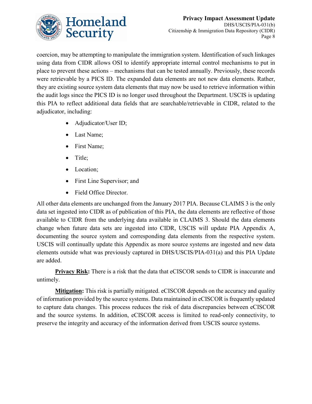

coercion, may be attempting to manipulate the immigration system. Identification of such linkages using data from CIDR allows OSI to identify appropriate internal control mechanisms to put in place to prevent these actions – mechanisms that can be tested annually. Previously, these records were retrievable by a PICS ID. The expanded data elements are not new data elements. Rather, they are existing source system data elements that may now be used to retrieve information within the audit logs since the PICS ID is no longer used throughout the Department. USCIS is updating this PIA to reflect additional data fields that are searchable/retrievable in CIDR, related to the adjudicator, including:

- Adjudicator/User ID;
- Last Name;
- First Name;
- Title;
- Location;
- First Line Supervisor; and
- Field Office Director.

All other data elements are unchanged from the January 2017 PIA. Because CLAIMS 3 is the only data set ingested into CIDR as of publication of this PIA, the data elements are reflective of those available to CIDR from the underlying data available in CLAIMS 3. Should the data elements change when future data sets are ingested into CIDR, USCIS will update PIA Appendix A, documenting the source system and corresponding data elements from the respective system. USCIS will continually update this Appendix as more source systems are ingested and new data elements outside what was previously captured in DHS/USCIS/PIA-031(a) and this PIA Update are added.

**Privacy Risk:** There is a risk that the data that eCISCOR sends to CIDR is inaccurate and untimely.

**Mitigation:** This risk is partially mitigated. eCISCOR depends on the accuracy and quality of information provided by the source systems. Data maintained in eCISCOR is frequently updated to capture data changes. This process reduces the risk of data discrepancies between eCISCOR and the source systems. In addition, eCISCOR access is limited to read-only connectivity, to preserve the integrity and accuracy of the information derived from USCIS source systems.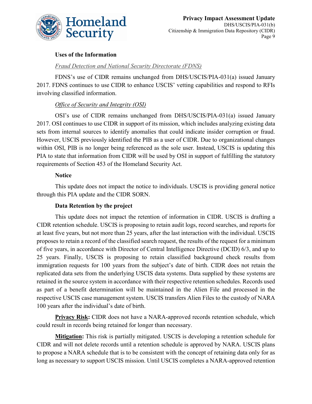

#### **Uses of the Information**

#### *Fraud Detection and National Security Directorate (FDNS)*

FDNS's use of CIDR remains unchanged from DHS/USCIS/PIA-031(a) issued January 2017. FDNS continues to use CIDR to enhance USCIS' vetting capabilities and respond to RFIs involving classified information.

#### *Office of Security and Integrity (OSI)*

OSI's use of CIDR remains unchanged from DHS/USCIS/PIA-031(a) issued January 2017. OSI continues to use CIDR in support of its mission, which includes analyzing existing data sets from internal sources to identify anomalies that could indicate insider corruption or fraud. However, USCIS previously identified the PIB as a user of CIDR. Due to organizational changes within OSI, PIB is no longer being referenced as the sole user. Instead, USCIS is updating this PIA to state that information from CIDR will be used by OSI in support of fulfilling the statutory requirements of Section 453 of the Homeland Security Act.

#### **Notice**

This update does not impact the notice to individuals. USCIS is providing general notice through this PIA update and the CIDR SORN.

#### **Data Retention by the project**

This update does not impact the retention of information in CIDR. USCIS is drafting a CIDR retention schedule. USCIS is proposing to retain audit logs, record searches, and reports for at least five years, but not more than 25 years, after the last interaction with the individual. USCIS proposes to retain a record of the classified search request, the results of the request for a minimum of five years, in accordance with Director of Central Intelligence Directive (DCID) 6/3, and up to 25 years. Finally, USCIS is proposing to retain classified background check results from immigration requests for 100 years from the subject's date of birth. CIDR does not retain the replicated data sets from the underlying USCIS data systems. Data supplied by these systems are retained in the source system in accordance with their respective retention schedules. Records used as part of a benefit determination will be maintained in the Alien File and processed in the respective USCIS case management system. USCIS transfers Alien Files to the custody of NARA 100 years after the individual's date of birth.

**Privacy Risk:** CIDR does not have a NARA-approved records retention schedule, which could result in records being retained for longer than necessary.

**Mitigation:** This risk is partially mitigated. USCIS is developing a retention schedule for CIDR and will not delete records until a retention schedule is approved by NARA. USCIS plans to propose a NARA schedule that is to be consistent with the concept of retaining data only for as long as necessary to support USCIS mission. Until USCIS completes a NARA-approved retention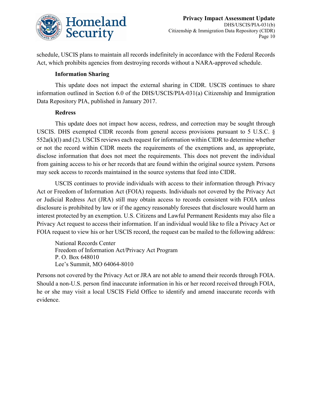

schedule, USCIS plans to maintain all records indefinitely in accordance with the Federal Records Act, which prohibits agencies from destroying records without a NARA-approved schedule.

#### **Information Sharing**

This update does not impact the external sharing in CIDR. USCIS continues to share information outlined in Section 6.0 of the DHS/USCIS/PIA-031(a) Citizenship and Immigration Data Repository PIA, published in January 2017.

#### **Redress**

This update does not impact how access, redress, and correction may be sought through USCIS. DHS exempted CIDR records from general access provisions pursuant to 5 U.S.C. § 552a(k)(l) and (2). USCIS reviews each request for information within CIDR to determine whether or not the record within CIDR meets the requirements of the exemptions and, as appropriate, disclose information that does not meet the requirements. This does not prevent the individual from gaining access to his or her records that are found within the original source system. Persons may seek access to records maintained in the source systems that feed into CIDR.

USCIS continues to provide individuals with access to their information through Privacy Act or Freedom of Information Act (FOIA) requests. Individuals not covered by the Privacy Act or Judicial Redress Act (JRA) still may obtain access to records consistent with FOIA unless disclosure is prohibited by law or if the agency reasonably foresees that disclosure would harm an interest protected by an exemption. U.S. Citizens and Lawful Permanent Residents may also file a Privacy Act request to access their information. If an individual would like to file a Privacy Act or FOIA request to view his or her USCIS record, the request can be mailed to the following address:

National Records Center Freedom of Information Act/Privacy Act Program P. O. Box 648010 Lee's Summit, MO 64064-8010

Persons not covered by the Privacy Act or JRA are not able to amend their records through FOIA. Should a non-U.S. person find inaccurate information in his or her record received through FOIA, he or she may visit a local USCIS Field Office to identify and amend inaccurate records with evidence.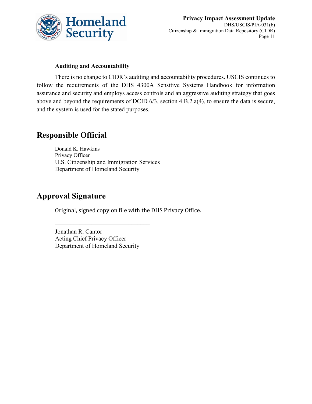

#### **Auditing and Accountability**

There is no change to CIDR's auditing and accountability procedures. USCIS continues to follow the requirements of the DHS 4300A Sensitive Systems Handbook for information assurance and security and employs access controls and an aggressive auditing strategy that goes above and beyond the requirements of DCID 6/3, section 4.B.2.a(4), to ensure the data is secure, and the system is used for the stated purposes.

# **Responsible Official**

Donald K. Hawkins Privacy Officer U.S. Citizenship and Immigration Services Department of Homeland Security

# **Approval Signature**

Original, signed copy on file with the DHS Privacy Office.

Jonathan R. Cantor Acting Chief Privacy Officer Department of Homeland Security

 $\mathcal{L}_\mathcal{L}$